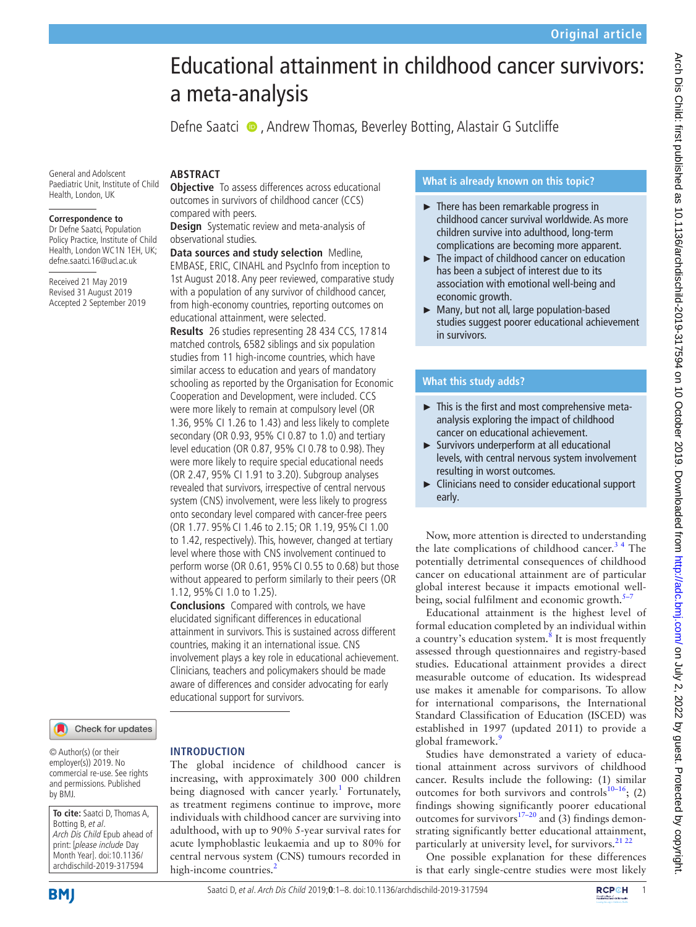# Educational attainment in childhood cancer survivors: a meta-analysis

Defne Saatci  $\bullet$ , Andrew Thomas, Beverley Botting, Alastair G Sutcliffe

General and Adolscent Paediatric Unit, Institute of Child Health, London, UK

#### **Correspondence to**

Dr Defne Saatci, Population Policy Practice, Institute of Child Health, London WC1N 1EH, UK; defne.saatci.16@ucl.ac.uk

Received 21 May 2019 Revised 31 August 2019 Accepted 2 September 2019

# **ARSTRACT**

**Objective** To assess differences across educational outcomes in survivors of childhood cancer (CCS) compared with peers.

**Design** Systematic review and meta-analysis of observational studies.

**Data sources and study selection** Medline, EMBASE, ERIC, CINAHL and PsycInfo from inception to 1st August 2018. Any peer reviewed, comparative study with a population of any survivor of childhood cancer, from high-economy countries, reporting outcomes on educational attainment, were selected.

**Results** 26 studies representing 28 434 CCS, 17 814 matched controls, 6582 siblings and six population studies from 11 high-income countries, which have similar access to education and years of mandatory schooling as reported by the Organisation for Economic Cooperation and Development, were included. CCS were more likely to remain at compulsory level (OR 1.36, 95% CI 1.26 to 1.43) and less likely to complete secondary (OR 0.93, 95% CI 0.87 to 1.0) and tertiary level education (OR 0.87, 95% CI 0.78 to 0.98). They were more likely to require special educational needs (OR 2.47, 95% CI 1.91 to 3.20). Subgroup analyses revealed that survivors, irrespective of central nervous system (CNS) involvement, were less likely to progress onto secondary level compared with cancer-free peers (OR 1.77. 95%CI 1.46 to 2.15; OR 1.19, 95%CI 1.00 to 1.42, respectively). This, however, changed at tertiary level where those with CNS involvement continued to perform worse (OR 0.61, 95% CI 0.55 to 0.68) but those without appeared to perform similarly to their peers (OR 1.12, 95%CI 1.0 to 1.25).

**Conclusions** Compared with controls, we have elucidated significant differences in educational attainment in survivors. This is sustained across different countries, making it an international issue. CNS involvement plays a key role in educational achievement. Clinicians, teachers and policymakers should be made aware of differences and consider advocating for early educational support for survivors.

The global incidence of childhood cancer is increasing, with approximately 300 000 children being diagnosed with cancer yearly.<sup>[1](#page-6-0)</sup> Fortunately, as treatment regimens continue to improve, more individuals with childhood cancer are surviving into adulthood, with up to 90% 5-year survival rates for acute lymphoblastic leukaemia and up to 80% for central nervous system (CNS) tumours recorded in

**Introduction**

Check for updates

© Author(s) (or their employer(s)) 2019. No commercial re-use. See rights and permissions. Published by BMJ.

**To cite:** Saatci D, Thomas A, Botting B, et al. Arch Dis Child Epub ahead of print: [please include Day Month Year]. doi:10.1136/ archdischild-2019-317594

# **What is already known on this topic?**

- $\blacktriangleright$  There has been remarkable progress in childhood cancer survival worldwide. As more children survive into adulthood, long-term complications are becoming more apparent.
- ► The impact of childhood cancer on education has been a subject of interest due to its association with emotional well-being and economic growth.
- ► Many, but not all, large population-based studies suggest poorer educational achievement in survivors.

# **What this study adds?**

- ► This is the first and most comprehensive metaanalysis exploring the impact of childhood cancer on educational achievement.
- ► Survivors underperform at all educational levels, with central nervous system involvement resulting in worst outcomes.
- ► Clinicians need to consider educational support early.

Now, more attention is directed to understanding the late complications of childhood cancer.<sup>34</sup> The potentially detrimental consequences of childhood cancer on educational attainment are of particular global interest because it impacts emotional wellbeing, social fulfilment and economic growth.<sup>5</sup>

Educational attainment is the highest level of formal education completed by an individual within a country's education system.<sup>[8](#page-6-4)</sup> It is most frequently assessed through questionnaires and registry-based studies. Educational attainment provides a direct measurable outcome of education. Its widespread use makes it amenable for comparisons. To allow for international comparisons, the International Standard Classification of Education (ISCED) was established in 1997 (updated 2011) to provide a global framework.<sup>[9](#page-6-5)</sup>

Studies have demonstrated a variety of educational attainment across survivors of childhood cancer. Results include the following: (1) similar outcomes for both survivors and controls<sup>10–16</sup>; (2) findings showing significantly poorer educational outcomes for survivors<sup>[17–20](#page-7-0)</sup> and (3) findings demonstrating significantly better educational attainment, particularly at university level, for survivors. $21 22$ 

One possible explanation for these differences is that early single-centre studies were most likely

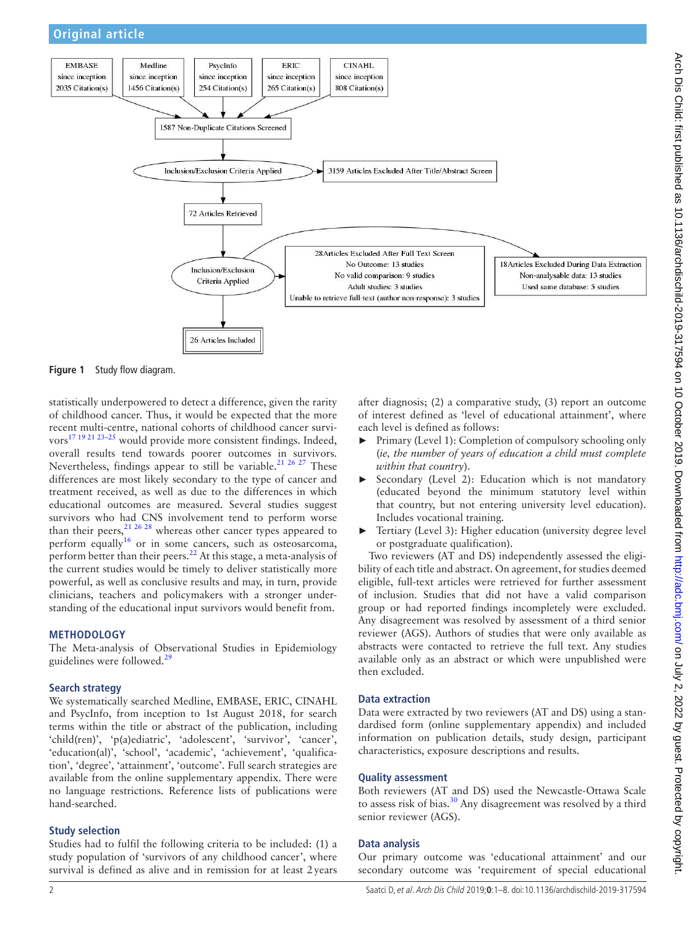



<span id="page-1-0"></span>**Figure 1** Study flow diagram.

statistically underpowered to detect a difference, given the rarity of childhood cancer. Thus, it would be expected that the more recent multi-centre, national cohorts of childhood cancer survivors<sup>17 19 21 23-25</sup> would provide more consistent findings. Indeed, overall results tend towards poorer outcomes in survivors. Nevertheless, findings appear to still be variable.<sup>21 26 27</sup> These differences are most likely secondary to the type of cancer and treatment received, as well as due to the differences in which educational outcomes are measured. Several studies suggest survivors who had CNS involvement tend to perform worse than their peers,  $21 \frac{26}{28}$  whereas other cancer types appeared to perform equally<sup>[16](#page-7-2)</sup> or in some cancers, such as osteosarcoma, perform better than their peers.<sup>22</sup> At this stage, a meta-analysis of the current studies would be timely to deliver statistically more powerful, as well as conclusive results and may, in turn, provide clinicians, teachers and policymakers with a stronger understanding of the educational input survivors would benefit from.

#### **Methodology**

The Meta-analysis of Observational Studies in Epidemiology guidelines were followed.<sup>[29](#page-7-4)</sup>

## **Search strategy**

We systematically searched Medline, EMBASE, ERIC, CINAHL and PsycInfo, from inception to 1st August 2018, for search terms within the title or abstract of the publication, including 'child(ren)', 'p(a)ediatric', 'adolescent', 'survivor', 'cancer', 'education(al)', 'school', 'academic', 'achievement', 'qualification', 'degree', 'attainment', 'outcome'. Full search strategies are available from the [online supplementary appendix](https://dx.doi.org/10.1136/archdischild-2019-317594). There were no language restrictions. Reference lists of publications were hand-searched.

## **Study selection**

Studies had to fulfil the following criteria to be included: (1) a study population of 'survivors of any childhood cancer', where survival is defined as alive and in remission for at least 2years after diagnosis; (2) a comparative study, (3) report an outcome of interest defined as 'level of educational attainment', where each level is defined as follows:

- ► Primary (Level 1): Completion of compulsory schooling only (*ie, the number of years of education a child must complete within that country*).
- Secondary (Level 2): Education which is not mandatory (educated beyond the minimum statutory level within that country, but not entering university level education). Includes vocational training.
- ► Tertiary (Level 3): Higher education (university degree level or postgraduate qualification).

Two reviewers (AT and DS) independently assessed the eligibility of each title and abstract. On agreement, for studies deemed eligible, full-text articles were retrieved for further assessment of inclusion. Studies that did not have a valid comparison group or had reported findings incompletely were excluded. Any disagreement was resolved by assessment of a third senior reviewer (AGS). Authors of studies that were only available as abstracts were contacted to retrieve the full text. Any studies available only as an abstract or which were unpublished were then excluded.

## **Data extraction**

Data were extracted by two reviewers (AT and DS) using a standardised form ([online supplementary appendix\)](https://dx.doi.org/10.1136/archdischild-2019-317594) and included information on publication details, study design, participant characteristics, exposure descriptions and results.

#### **Quality assessment**

Both reviewers (AT and DS) used the Newcastle-Ottawa Scale to assess risk of bias.<sup>30</sup> Any disagreement was resolved by a third senior reviewer (AGS).

#### **Data analysis**

Our primary outcome was 'educational attainment' and our secondary outcome was 'requirement of special educational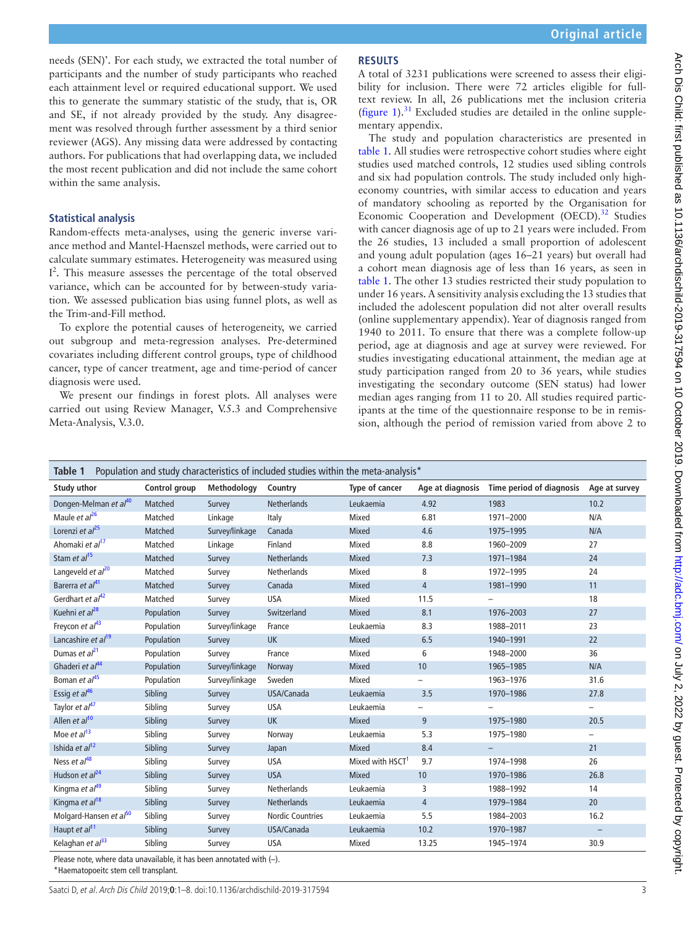needs (SEN)'. For each study, we extracted the total number of participants and the number of study participants who reached each attainment level or required educational support. We used this to generate the summary statistic of the study, that is, OR and SE, if not already provided by the study. Any disagreement was resolved through further assessment by a third senior reviewer (AGS). Any missing data were addressed by contacting authors. For publications that had overlapping data, we included the most recent publication and did not include the same cohort within the same analysis.

## **Statistical analysis**

Random-effects meta-analyses, using the generic inverse variance method and Mantel-Haenszel methods, were carried out to calculate summary estimates. Heterogeneity was measured using I<sup>2</sup>. This measure assesses the percentage of the total observed variance, which can be accounted for by between-study variation. We assessed publication bias using funnel plots, as well as the Trim-and-Fill method.

To explore the potential causes of heterogeneity, we carried out subgroup and meta-regression analyses. Pre-determined covariates including different control groups, type of childhood cancer, type of cancer treatment, age and time-period of cancer diagnosis were used.

We present our findings in forest plots. All analyses were carried out using Review Manager, V.5.3 and Comprehensive Meta-Analysis, V.3.0.

## **Results**

A total of 3231 publications were screened to assess their eligibility for inclusion. There were 72 articles eligible for fulltext review. In all, 26 publications met the inclusion criteria ([figure](#page-1-0)  $1$ ).<sup>[31](#page-7-26)</sup> Excluded studies are detailed in the [online supple](https://dx.doi.org/10.1136/archdischild-2019-317594)[mentary appendix.](https://dx.doi.org/10.1136/archdischild-2019-317594)

The study and population characteristics are presented in [table](#page-2-0) 1. All studies were retrospective cohort studies where eight studies used matched controls, 12 studies used sibling controls and six had population controls. The study included only higheconomy countries, with similar access to education and years of mandatory schooling as reported by the Organisation for Economic Cooperation and Development (OECD).<sup>[32](#page-7-27)</sup> Studies with cancer diagnosis age of up to 21 years were included. From the 26 studies, 13 included a small proportion of adolescent and young adult population (ages 16–21 years) but overall had a cohort mean diagnosis age of less than 16 years, as seen in [table](#page-2-0) 1. The other 13 studies restricted their study population to under 16 years. A sensitivity analysis excluding the 13 studies that included the adolescent population did not alter overall results ([online supplementary appendix](https://dx.doi.org/10.1136/archdischild-2019-317594)). Year of diagnosis ranged from 1940 to 2011. To ensure that there was a complete follow-up period, age at diagnosis and age at survey were reviewed. For studies investigating educational attainment, the median age at study participation ranged from 20 to 36 years, while studies investigating the secondary outcome (SEN status) had lower median ages ranging from 11 to 20. All studies required participants at the time of the questionnaire response to be in remission, although the period of remission varied from above 2 to

<span id="page-2-0"></span>

| Population and study characteristics of included studies within the meta-analysis*<br>Table 1 |                                           |                                                            |                         |                              |                          |                                           |                          |
|-----------------------------------------------------------------------------------------------|-------------------------------------------|------------------------------------------------------------|-------------------------|------------------------------|--------------------------|-------------------------------------------|--------------------------|
| Study uthor                                                                                   | Control group                             | Methodology                                                | Country                 | Type of cancer               |                          | Age at diagnosis Time period of diagnosis | Age at survey            |
| Dongen-Melman et al <sup>40</sup>                                                             | Matched                                   | Survey                                                     | <b>Netherlands</b>      | Leukaemia                    | 4.92                     | 1983                                      | 10.2                     |
| Maule et $a^{26}$                                                                             | Matched                                   | Linkage                                                    | Italy                   | Mixed                        | 6.81                     | 1971-2000                                 | N/A                      |
| Lorenzi et $al^{25}$                                                                          | Matched                                   | Survey/linkage                                             | Canada                  | <b>Mixed</b>                 | 4.6                      | 1975-1995                                 | N/A                      |
| Ahomaki et al <sup>17</sup>                                                                   | Matched                                   | Linkage                                                    | Finland                 | Mixed                        | 8.8                      | 1960-2009                                 | 27                       |
| Stam et al <sup>15</sup>                                                                      | Matched                                   | Survey                                                     | Netherlands             | Mixed                        | 7.3                      | 1971-1984                                 | 24                       |
| Langeveld et $al^{20}$                                                                        | Matched                                   | Survey                                                     | Netherlands             | Mixed                        | 8                        | 1972-1995                                 | 24                       |
| Barerra et al <sup>41</sup>                                                                   | Matched                                   | Survey                                                     | Canada                  | Mixed                        | $\overline{4}$           | 1981-1990                                 | 11                       |
| Gerdhart et al <sup>42</sup>                                                                  | Matched                                   | Survey                                                     | <b>USA</b>              | Mixed                        | 11.5                     |                                           | 18                       |
| Kuehni et $a^{28}$                                                                            | Population                                | Survey                                                     | Switzerland             | Mixed                        | 8.1                      | 1976-2003                                 | 27                       |
| Freycon et $a^{43}$                                                                           | Population                                | Survey/linkage                                             | France                  | Leukaemia                    | 8.3                      | 1988-2011                                 | 23                       |
| Lancashire et al <sup>19</sup>                                                                | Population                                | Survey                                                     | <b>UK</b>               | <b>Mixed</b>                 | 6.5                      | 1940-1991                                 | 22                       |
| Dumas et $al^{21}$                                                                            | Population                                | Survey                                                     | France                  | Mixed                        | 6                        | 1948-2000                                 | 36                       |
| Ghaderi et al <sup>44</sup>                                                                   | Population                                | Survey/linkage                                             | Norway                  | Mixed                        | 10                       | 1965-1985                                 | N/A                      |
| Boman et al <sup>45</sup>                                                                     | Population                                | Survey/linkage                                             | Sweden                  | Mixed                        | $\overline{\phantom{0}}$ | 1963-1976                                 | 31.6                     |
| Essig et $al^{46}$                                                                            | Sibling                                   | Survey                                                     | USA/Canada              | Leukaemia                    | 3.5                      | 1970-1986                                 | 27.8                     |
| Taylor et al <sup>47</sup>                                                                    | Sibling                                   | Survey                                                     | <b>USA</b>              | Leukaemia                    |                          |                                           | $-$                      |
| Allen et al <sup>10</sup>                                                                     | Sibling                                   | Survey                                                     | <b>UK</b>               | Mixed                        | 9                        | 1975-1980                                 | 20.5                     |
| Moe et $al13$                                                                                 | Sibling                                   | Survey                                                     | Norway                  | Leukaemia                    | 5.3                      | 1975-1980                                 | $\overline{\phantom{0}}$ |
| Ishida et al <sup>12</sup>                                                                    | Sibling                                   | Survey                                                     | Japan                   | Mixed                        | 8.4                      | $\overline{\phantom{m}}$                  | 21                       |
| Ness et $al^{48}$                                                                             | Sibling                                   | Survey                                                     | <b>USA</b>              | Mixed with HSCT <sup>1</sup> | 9.7                      | 1974-1998                                 | 26                       |
| Hudson et $al24$                                                                              | Sibling                                   | Survey                                                     | <b>USA</b>              | <b>Mixed</b>                 | 10                       | 1970-1986                                 | 26.8                     |
| Kingma et al <sup>49</sup>                                                                    | Sibling                                   | Survey                                                     | Netherlands             | Leukaemia                    | 3                        | 1988-1992                                 | 14                       |
| Kingma et al <sup>18</sup>                                                                    | Sibling                                   | Survey                                                     | <b>Netherlands</b>      | Leukaemia                    | $\overline{4}$           | 1979-1984                                 | 20                       |
| Molgard-Hansen et al <sup>50</sup>                                                            | Sibling                                   | Survey                                                     | <b>Nordic Countries</b> | Leukaemia                    | 5.5                      | 1984-2003                                 | 16.2                     |
| Haupt et al <sup>11</sup>                                                                     | Sibling                                   | Survey                                                     | USA/Canada              | Leukaemia                    | 10.2                     | 1970-1987                                 | $\equiv$                 |
| Kelaghan et al <sup>33</sup>                                                                  | Sibling<br><b>ALCOHOL: AND ARRIVED AT</b> | Survey<br>$\sim$ $\sim$ $\sim$ $\sim$ $\sim$ $\sim$ $\sim$ | <b>USA</b>              | Mixed                        | 13.25                    | 1945-1974                                 | 30.9                     |

Please note, where data unavailable, it has been annotated with (–).

\*Haematopoeitc stem cell transplant.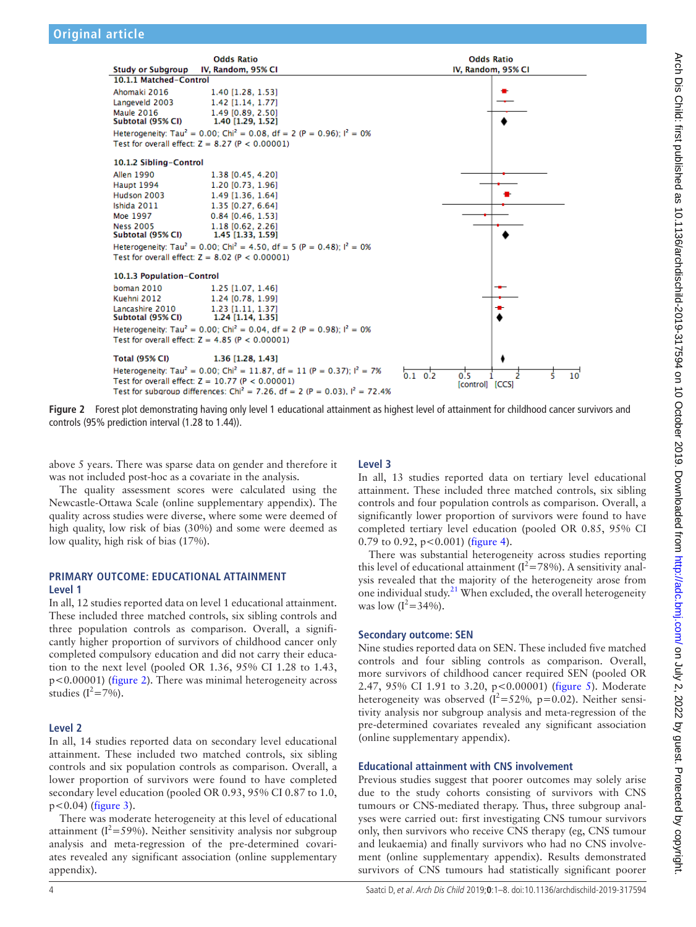

<span id="page-3-0"></span>**Figure 2** Forest plot demonstrating having only level 1 educational attainment as highest level of attainment for childhood cancer survivors and controls (95% prediction interval (1.28 to 1.44)).

above 5 years. There was sparse data on gender and therefore it was not included post-hoc as a covariate in the analysis.

The quality assessment scores were calculated using the Newcastle-Ottawa Scale ([online supplementary appendix\)](https://dx.doi.org/10.1136/archdischild-2019-317594). The quality across studies were diverse, where some were deemed of high quality, low risk of bias (30%) and some were deemed as low quality, high risk of bias (17%).

## **PRIMARY OUTCOME: EDUCATIONAL ATTAINMENT Level 1**

In all, 12 studies reported data on level 1 educational attainment. These included three matched controls, six sibling controls and three population controls as comparison. Overall, a significantly higher proportion of survivors of childhood cancer only completed compulsory education and did not carry their education to the next level (pooled OR 1.36, 95% CI 1.28 to 1.43, p<0.00001) ([figure](#page-3-0) 2). There was minimal heterogeneity across studies  $(I^2=7\%)$ .

## **Level 2**

In all, 14 studies reported data on secondary level educational attainment. These included two matched controls, six sibling controls and six population controls as comparison. Overall, a lower proportion of survivors were found to have completed secondary level education (pooled OR 0.93, 95% CI 0.87 to 1.0,  $p < 0.04$ ) ([figure](#page-4-0) 3).

There was moderate heterogeneity at this level of educational attainment ( $I^2$ =59%). Neither sensitivity analysis nor subgroup analysis and meta-regression of the pre-determined covariates revealed any significant association [\(online supplementary](https://dx.doi.org/10.1136/archdischild-2019-317594)  [appendix\)](https://dx.doi.org/10.1136/archdischild-2019-317594).

# **Level 3**

In all, 13 studies reported data on tertiary level educational attainment. These included three matched controls, six sibling controls and four population controls as comparison. Overall, a significantly lower proportion of survivors were found to have completed tertiary level education (pooled OR 0.85, 95% CI 0.79 to 0.92,  $p < 0.001$ ) [\(figure](#page-4-1) 4).

There was substantial heterogeneity across studies reporting this level of educational attainment ( $I^2$ =78%). A sensitivity analysis revealed that the majority of the heterogeneity arose from one individual study. $^{21}$  $^{21}$  $^{21}$  When excluded, the overall heterogeneity was low  $(I^2 = 34\%)$ .

## **Secondary outcome: SEN**

Nine studies reported data on SEN. These included five matched controls and four sibling controls as comparison. Overall, more survivors of childhood cancer required SEN (pooled OR 2.47, 95% CI 1.91 to 3.20, p<0.00001) [\(figure](#page-5-0) 5). Moderate heterogeneity was observed  $(I^2 = 52\%, p = 0.02)$ . Neither sensitivity analysis nor subgroup analysis and meta-regression of the pre-determined covariates revealed any significant association ([online supplementary appendix](https://dx.doi.org/10.1136/archdischild-2019-317594)).

## **Educational attainment with CNS involvement**

Previous studies suggest that poorer outcomes may solely arise due to the study cohorts consisting of survivors with CNS tumours or CNS-mediated therapy. Thus, three subgroup analyses were carried out: first investigating CNS tumour survivors only, then survivors who receive CNS therapy (eg, CNS tumour and leukaemia) and finally survivors who had no CNS involvement ([online supplementary appendix](https://dx.doi.org/10.1136/archdischild-2019-317594)). Results demonstrated survivors of CNS tumours had statistically significant poorer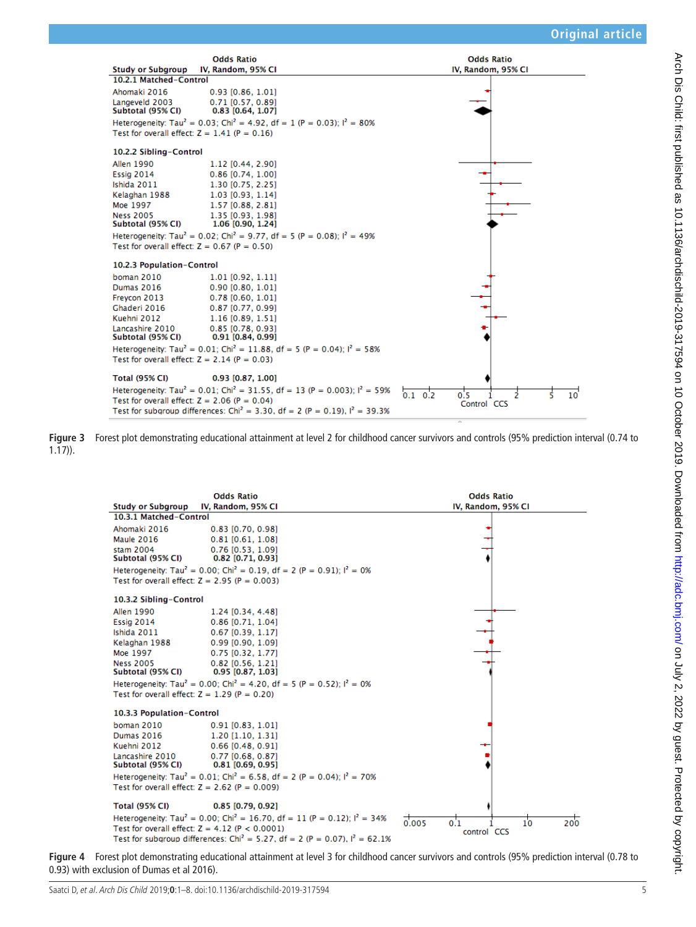

**Figure 3** Forest plot demonstrating educational attainment at level 2 for childhood cancer survivors and controls (95% prediction interval (0.74 to 1.17)).

<span id="page-4-0"></span>

<span id="page-4-1"></span>**Figure 4** Forest plot demonstrating educational attainment at level 3 for childhood cancer survivors and controls (95% prediction interval (0.78 to 0.93) with exclusion of Dumas et al 2016).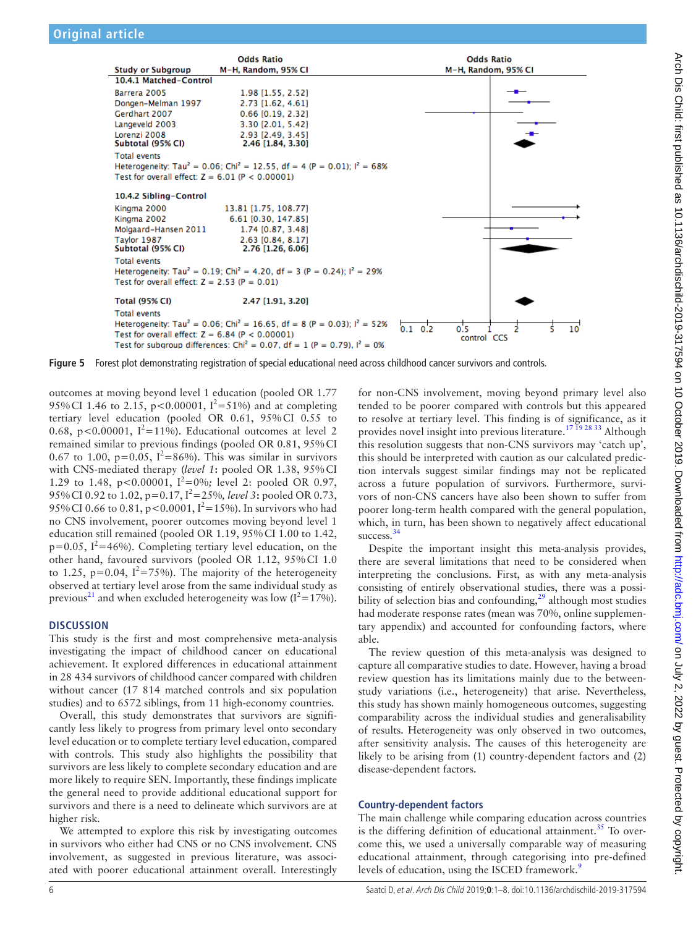

<span id="page-5-0"></span>

outcomes at moving beyond level 1 education (pooled OR 1.77 95% CI 1.46 to 2.15, p<0.00001,  $I^2 = 51\%$  and at completing tertiary level education (pooled OR 0.61, 95%CI 0.55 to 0.68, p<0.00001,  $I^2$ =11%). Educational outcomes at level 2 remained similar to previous findings (pooled OR 0.81, 95%CI 0.67 to 1.00,  $p=0.05$ ,  $I^2=86\%$ ). This was similar in survivors with CNS-mediated therapy (*level 1***:** pooled OR 1.38, 95%CI 1.29 to 1.48, p<0.00001, I<sup>2</sup>=0%; level 2: pooled OR 0.97, 95%CI 0.92 to 1.02, p=0.17, I<sup>2</sup> =25%*, level 3***:** pooled OR 0.73, 95% CI 0.66 to 0.81,  $p < 0.0001$ ,  $I^2 = 15%$ ). In survivors who had no CNS involvement, poorer outcomes moving beyond level 1 education still remained (pooled OR 1.19, 95%CI 1.00 to 1.42,  $p=0.05$ ,  $I^2=46\%$ ). Completing tertiary level education, on the other hand, favoured survivors (pooled OR 1.12, 95%CI 1.0 to 1.25, p=0.04,  $I^2 = 75\%$ ). The majority of the heterogeneity observed at tertiary level arose from the same individual study as previous<sup>[21](#page-7-1)</sup> and when excluded heterogeneity was low ( $I^2$ =17%).

## **Discussion**

This study is the first and most comprehensive meta-analysis investigating the impact of childhood cancer on educational achievement. It explored differences in educational attainment in 28 434 survivors of childhood cancer compared with children without cancer (17 814 matched controls and six population studies) and to 6572 siblings, from 11 high-economy countries.

Overall, this study demonstrates that survivors are significantly less likely to progress from primary level onto secondary level education or to complete tertiary level education, compared with controls. This study also highlights the possibility that survivors are less likely to complete secondary education and are more likely to require SEN. Importantly, these findings implicate the general need to provide additional educational support for survivors and there is a need to delineate which survivors are at higher risk.

We attempted to explore this risk by investigating outcomes in survivors who either had CNS or no CNS involvement. CNS involvement, as suggested in previous literature, was associated with poorer educational attainment overall. Interestingly

for non-CNS involvement, moving beyond primary level also tended to be poorer compared with controls but this appeared to resolve at tertiary level. This finding is of significance, as it provides novel insight into previous literature.<sup>17 19</sup> <sup>28 33</sup> Although this resolution suggests that non-CNS survivors may 'catch up', this should be interpreted with caution as our calculated prediction intervals suggest similar findings may not be replicated across a future population of survivors. Furthermore, survivors of non-CNS cancers have also been shown to suffer from poorer long-term health compared with the general population, which, in turn, has been shown to negatively affect educational success.<sup>34</sup>

Despite the important insight this meta-analysis provides, there are several limitations that need to be considered when interpreting the conclusions. First, as with any meta-analysis consisting of entirely observational studies, there was a possibility of selection bias and confounding, $29$  although most studies had moderate response rates (mean was 70%, [online supplemen](https://dx.doi.org/10.1136/archdischild-2019-317594)[tary appendix](https://dx.doi.org/10.1136/archdischild-2019-317594)) and accounted for confounding factors, where able.

The review question of this meta-analysis was designed to capture all comparative studies to date. However, having a broad review question has its limitations mainly due to the betweenstudy variations (i.e., heterogeneity) that arise. Nevertheless, this study has shown mainly homogeneous outcomes, suggesting comparability across the individual studies and generalisability of results. Heterogeneity was only observed in two outcomes, after sensitivity analysis. The causes of this heterogeneity are likely to be arising from (1) country-dependent factors and (2) disease-dependent factors.

## **Country-dependent factors**

The main challenge while comparing education across countries is the differing definition of educational attainment.<sup>[35](#page-7-29)</sup> To overcome this, we used a universally comparable way of measuring educational attainment, through categorising into pre-defined levels of education, using the ISCED framework.<sup>[9](#page-6-5)</sup>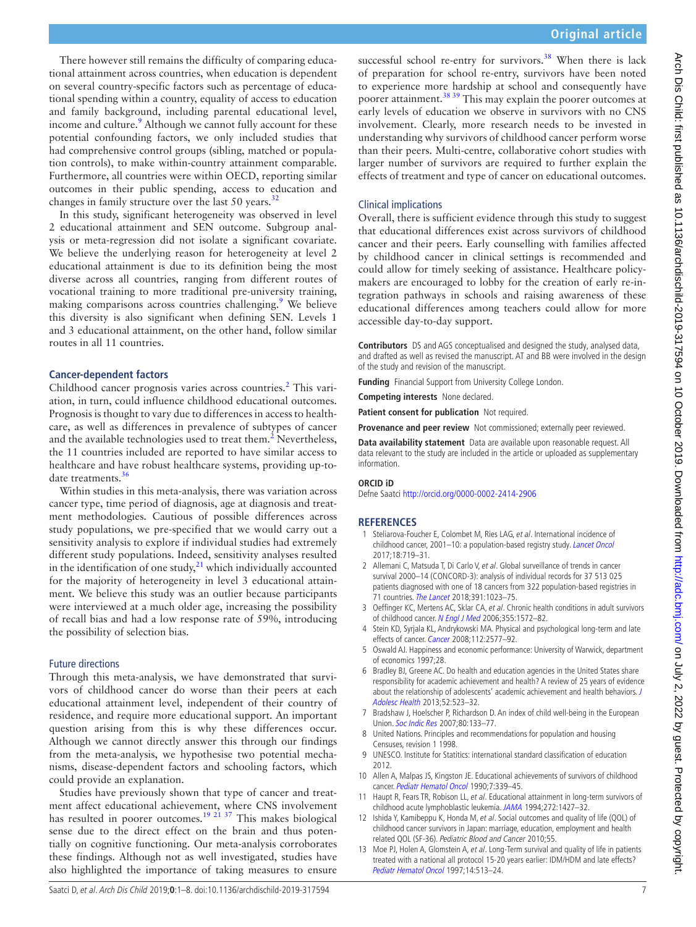There however still remains the difficulty of comparing educational attainment across countries, when education is dependent on several country-specific factors such as percentage of educational spending within a country, equality of access to education and family background, including parental educational level, income and culture.<sup>9</sup> Although we cannot fully account for these potential confounding factors, we only included studies that had comprehensive control groups (sibling, matched or population controls), to make within-country attainment comparable. Furthermore, all countries were within OECD, reporting similar outcomes in their public spending, access to education and changes in family structure over the last 50 years. $32$ 

In this study, significant heterogeneity was observed in level 2 educational attainment and SEN outcome. Subgroup analysis or meta-regression did not isolate a significant covariate. We believe the underlying reason for heterogeneity at level 2 educational attainment is due to its definition being the most diverse across all countries, ranging from different routes of vocational training to more traditional pre-university training, making comparisons across countries challenging.<sup>[9](#page-6-5)</sup> We believe this diversity is also significant when defining SEN. Levels 1 and 3 educational attainment, on the other hand, follow similar routes in all 11 countries.

## **Cancer-dependent factors**

Childhood cancer prognosis varies across countries.<sup>[2](#page-6-1)</sup> This variation, in turn, could influence childhood educational outcomes. Prognosis is thought to vary due to differences in access to healthcare, as well as differences in prevalence of subtypes of cancer and the available technologies used to treat them. $2$  Nevertheless, the 11 countries included are reported to have similar access to healthcare and have robust healthcare systems, providing up-to-date treatments.<sup>[36](#page-7-30)</sup>

Within studies in this meta-analysis, there was variation across cancer type, time period of diagnosis, age at diagnosis and treatment methodologies. Cautious of possible differences across study populations, we pre-specified that we would carry out a sensitivity analysis to explore if individual studies had extremely different study populations. Indeed, sensitivity analyses resulted in the identification of one study, $21$  which individually accounted for the majority of heterogeneity in level 3 educational attainment. We believe this study was an outlier because participants were interviewed at a much older age, increasing the possibility of recall bias and had a low response rate of 59%, introducing the possibility of selection bias.

## Future directions

Through this meta-analysis, we have demonstrated that survivors of childhood cancer do worse than their peers at each educational attainment level, independent of their country of residence, and require more educational support. An important question arising from this is why these differences occur. Although we cannot directly answer this through our findings from the meta-analysis, we hypothesise two potential mechanisms, disease-dependent factors and schooling factors, which could provide an explanation.

Studies have previously shown that type of cancer and treatment affect educational achievement, where CNS involvement has resulted in poorer outcomes.<sup>19 21 37</sup> This makes biological sense due to the direct effect on the brain and thus potentially on cognitive functioning. Our meta-analysis corroborates these findings. Although not as well investigated, studies have also highlighted the importance of taking measures to ensure

successful school re-entry for survivors.<sup>[38](#page-7-31)</sup> When there is lack of preparation for school re-entry, survivors have been noted to experience more hardship at school and consequently have poorer attainment.<sup>38 39</sup> This may explain the poorer outcomes at early levels of education we observe in survivors with no CNS involvement. Clearly, more research needs to be invested in understanding why survivors of childhood cancer perform worse than their peers. Multi-centre, collaborative cohort studies with larger number of survivors are required to further explain the effects of treatment and type of cancer on educational outcomes.

#### Clinical implications

Overall, there is sufficient evidence through this study to suggest that educational differences exist across survivors of childhood cancer and their peers. Early counselling with families affected by childhood cancer in clinical settings is recommended and could allow for timely seeking of assistance. Healthcare policymakers are encouraged to lobby for the creation of early re-integration pathways in schools and raising awareness of these educational differences among teachers could allow for more accessible day-to-day support.

**Contributors** DS and AGS conceptualised and designed the study, analysed data, and drafted as well as revised the manuscript. AT and BB were involved in the design of the study and revision of the manuscript.

**Funding** Financial Support from University College London.

**Competing interests** None declared.

**Patient consent for publication** Not required.

**Provenance and peer review** Not commissioned; externally peer reviewed.

**Data availability statement** Data are available upon reasonable request. All data relevant to the study are included in the article or uploaded as supplementary information.

#### **ORCID iD**

Defne Saatci <http://orcid.org/0000-0002-2414-2906>

#### **References**

- <span id="page-6-0"></span>1 Steliarova-Foucher E, Colombet M, Ries LAG, et al. International incidence of childhood cancer, 2001-10: a population-based registry study. [Lancet Oncol](http://dx.doi.org/10.1016/S1470-2045(17)30186-9) 2017;18:719–31.
- <span id="page-6-1"></span>2 Allemani C, Matsuda T, Di Carlo V, et al. Global surveillance of trends in cancer survival 2000–14 (CONCORD-3): analysis of individual records for 37 513 025 patients diagnosed with one of 18 cancers from 322 population-based registries in 71 countries. [The Lancet](http://dx.doi.org/10.1016/S0140-6736(17)33326-3) 2018;391:1023–75.
- <span id="page-6-2"></span>3 Oeffinger KC, Mertens AC, Sklar CA, et al. Chronic health conditions in adult survivors of childhood cancer. [N Engl J Med](http://dx.doi.org/10.1056/NEJMsa060185) 2006;355:1572-82.
- 4 Stein KD, Syrjala KL, Andrykowski MA. Physical and psychological long-term and late effects of cancer. [Cancer](http://dx.doi.org/10.1002/cncr.23448) 2008;112:2577–92.
- <span id="page-6-3"></span>5 Oswald AJ. Happiness and economic performance: University of Warwick, department of economics 1997;28.
- 6 Bradley BJ, Greene AC. Do health and education agencies in the United States share responsibility for academic achievement and health? A review of 25 years of evidence about the relationship of adolescents' academic achievement and health behaviors. [J](http://dx.doi.org/10.1016/j.jadohealth.2013.01.008)  [Adolesc Health](http://dx.doi.org/10.1016/j.jadohealth.2013.01.008) 2013;52:523–32.
- 7 Bradshaw J, Hoelscher P, Richardson D. An index of child well-being in the European Union. [Soc Indic Res](http://dx.doi.org/10.1007/s11205-006-9024-z) 2007;80:133–77.
- <span id="page-6-4"></span>8 United Nations. Principles and recommendations for population and housing Censuses, revision 1 1998.
- <span id="page-6-5"></span>9 UNESCO. Institute for Statitics: international standard classification of education 2012.
- <span id="page-6-6"></span>10 Allen A, Malpas JS, Kingston JE. Educational achievements of survivors of childhood cancer. [Pediatr Hematol Oncol](http://dx.doi.org/10.3109/08880019009033411) 1990;7:339-45.
- <span id="page-6-9"></span>11 Haupt R, Fears TR, Robison LL, et al. Educational attainment in long-term survivors of childhood acute lymphoblastic leukemia. [JAMA](http://dx.doi.org/10.1001/jama.1994.03520180051034) 1994;272:1427–32.
- <span id="page-6-8"></span>12 Ishida Y, Kamibeppu K, Honda M, et al. Social outcomes and quality of life (QOL) of childhood cancer survivors in Japan: marriage, education, employment and health related QOL (SF-36). Pediatric Blood and Cancer 2010;55.
- <span id="page-6-7"></span>13 Moe PJ, Holen A, Glomstein A, et al. Long-Term survival and quality of life in patients treated with a national all protocol 15-20 years earlier: IDM/HDM and late effects? [Pediatr Hematol Oncol](http://dx.doi.org/10.3109/08880019709030908) 1997;14:513–24.